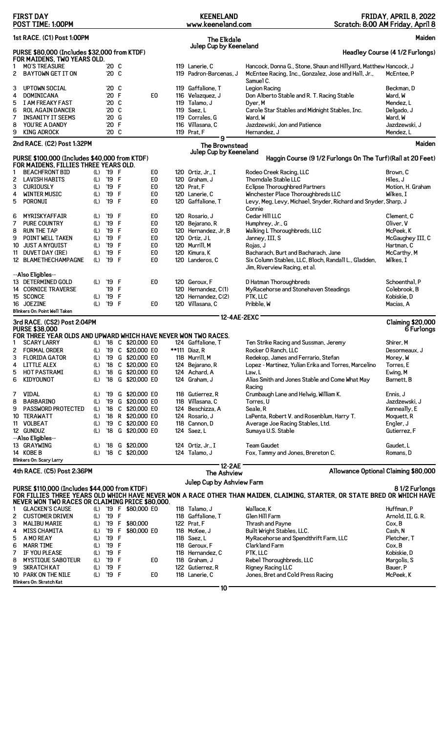|                                                            | <b>FIRST DAY</b><br>POST TIME: 1:00PM                                                                                                    |            |                             |         |                                        |                                  |  | <b>KEENELAND</b><br>www.keeneland.com                  |                                                                                                                                      | FRIDAY, APRIL 8, 2022<br>Scratch: 8:00 AM Friday, April 8 |
|------------------------------------------------------------|------------------------------------------------------------------------------------------------------------------------------------------|------------|-----------------------------|---------|----------------------------------------|----------------------------------|--|--------------------------------------------------------|--------------------------------------------------------------------------------------------------------------------------------------|-----------------------------------------------------------|
| 1st RACE. (C1) Post 1:00PM<br>Maiden<br><b>The Elkdale</b> |                                                                                                                                          |            |                             |         |                                        |                                  |  |                                                        |                                                                                                                                      |                                                           |
|                                                            | Julep Cup by Keeneland<br>PURSE \$80,000 (Includes \$32,000 from KTDF)<br>Headley Course (4 1/2 Furlongs)<br>FOR MAIDENS, TWO YEARS OLD. |            |                             |         |                                        |                                  |  |                                                        |                                                                                                                                      |                                                           |
| 1<br>2                                                     | <b>MO'S TREASURE</b><br><b>BAYTOWN GET IT ON</b>                                                                                         |            | '20 C<br>'20 C              |         |                                        |                                  |  | 119 Lanerie, C<br>119 Padron-Barcenas, J               | Hancock, Donna G., Stone, Shaun and Hillyard, Matthew Hancock, J<br>McEntee Racing, Inc., Gonzalez, Jose and Hall, Jr.,<br>Samuel C. | McEntee. P                                                |
| 3<br>4<br>5                                                | <b>UPTOWN SOCIAL</b><br><b>DOMINICANA</b><br>I AM FREAKY FAST                                                                            |            | '20 C<br>'20 F<br>'20 C     |         |                                        | E <sub>0</sub>                   |  | 119 Gaffalione, T<br>116 Velazquez, J<br>119 Talamo, J | Legion Racing<br>Don Alberto Stable and R. T. Racing Stable<br>Dyer, M                                                               | Beckman, D<br>Ward, W<br>Mendez, L                        |
| 6<br>7<br>8                                                | <b>ROL AGAIN DANCER</b><br><b>INSANITY IT SEEMS</b><br>YOU'RE A DANDY                                                                    |            | $'20$ C<br>$'20$ G<br>'20 F |         |                                        |                                  |  | 119 Saez. L<br>119 Corrales, G<br>116 Villasana, C     | Carole Star Stables and Midnight Stables, Inc.<br>Ward, W<br>Jazdzewski, Jon and Patience                                            | Delgado, J<br>Ward, W<br>Jazdzewski, J                    |
| 9                                                          | <b>KING ADROCK</b>                                                                                                                       |            | $'20$ C                     |         |                                        |                                  |  | 119 Prat, F<br>9                                       | Hernandez, J                                                                                                                         | Mendez, L                                                 |
|                                                            | 2nd RACE. (C2) Post 1:32PM                                                                                                               |            |                             |         |                                        |                                  |  | The Brownstead<br>Julep Cup by Keeneland               |                                                                                                                                      | Maiden                                                    |
|                                                            | PURSE \$100,000 (Includes \$40,000 from KTDF)                                                                                            |            |                             |         |                                        |                                  |  |                                                        | Haggin Course (9 1/2 Furlongs On The Turf) (Rail at 20 Feet)                                                                         |                                                           |
| 1                                                          | FOR MAIDENS, FILLIES THREE YEARS OLD.<br><b>BEACHFRONT BID</b>                                                                           | (L)        | '19 F                       |         |                                        | E <sub>0</sub>                   |  | 120 Ortiz, Jr., I                                      | Rodeo Creek Racing, LLC                                                                                                              | Brown, C                                                  |
| 2                                                          | <b>LAVISH HABITS</b>                                                                                                                     | (L)        | '19 F                       |         |                                        | E <sub>0</sub>                   |  | 120 Graham, J                                          | Thorndale Stable LLC                                                                                                                 | Hiles, J                                                  |
| 3                                                          | <b>CURIOUSLY</b>                                                                                                                         | (L)        | '19 F                       |         |                                        | E <sub>0</sub>                   |  | 120 Prat, F                                            | Eclipse Thoroughbred Partners                                                                                                        | Motion, H. Graham                                         |
| 4<br>5                                                     | <b>WINTER MUSIC</b><br>PORONUI                                                                                                           | (L)<br>(L) | '19<br>'19 F                | F       |                                        | E <sub>0</sub><br>E0             |  | 120 Lanerie, C<br>120 Gaffalione, T                    | Winchester Place Thoroughbreds LLC<br>Levy, Meg, Levy, Michael, Snyder, Richard and Snyder, Sharp, J<br>Connie                       | Wilkes, I                                                 |
| 6                                                          | MYRISKYAFFAIR                                                                                                                            | (L)        | '19 F                       |         |                                        | E <sub>0</sub>                   |  | 120 Rosario, J                                         | Cedar Hill LLC                                                                                                                       | Clement, C                                                |
| 7                                                          | <b>PURE COUNTRY</b>                                                                                                                      | (L)        | '19                         | F       |                                        | E <sub>0</sub>                   |  | 120 Bejarano, R                                        | Humphrey, Jr., G                                                                                                                     | Oliver, V                                                 |
| 8<br>9                                                     | <b>RUN THE TAP</b><br>POINT WELL TAKEN                                                                                                   | (L)<br>(L) | '19<br>'19                  | F<br>F  |                                        | E <sub>0</sub><br>E <sub>0</sub> |  | 120 Hernandez, Jr, B<br>120 Ortiz, JL                  | Walking L Thoroughbreds, LLC<br>Janney, III, S                                                                                       | McPeek, K<br>McGaughey III, C                             |
| 10                                                         | <b>JUST A NYQUIST</b>                                                                                                                    | (L)        | '19                         | F       |                                        | E <sub>0</sub>                   |  | 120 Murrill, M                                         | Rojas, J                                                                                                                             | Hartman, C                                                |
| 11                                                         | DUVET DAY (IRE)<br>12 BLAMETHECHAMPAGNE                                                                                                  | (L)<br>(L) | '19<br>'19 F                | F       |                                        | E <sub>0</sub><br>E <sub>0</sub> |  | 120 Kimura, K<br>120 Landeros, C                       | Bacharach, Burt and Bacharach, Jane<br>Six Column Stables, LLC, Bloch, Randall L., Gladden,<br>Jim, Riverview Racing, et al.         | McCarthy, M<br>Wilkes, I                                  |
|                                                            | --Also Eligibles--                                                                                                                       |            |                             |         |                                        |                                  |  |                                                        |                                                                                                                                      |                                                           |
|                                                            | 13 DETERMINED GOLD<br><b>14 CORNICE TRAVERSE</b>                                                                                         | (L)        | '19 F<br>'19                | F       |                                        | E <sub>0</sub>                   |  | 120 Geroux, F<br>120 Hernandez, C(1)                   | D Hatman Thoroughbreds<br>MyRacehorse and Stonehaven Steadings                                                                       | Schoenthal, P<br>Colebrook, B                             |
|                                                            | 15 SCONCE                                                                                                                                | (L)        | '19                         | F       |                                        |                                  |  | 120 Hernandez, C(2)                                    | PTK, LLC                                                                                                                             | Kobiskie, D                                               |
|                                                            | 16 JOEZINE<br>Blinkers On: Point Well Taken                                                                                              | (L)        | '19 F                       |         |                                        | E0                               |  | 120 Villasana, C                                       | Pribble, W                                                                                                                           | Macias, A                                                 |
|                                                            | 12-4AE-2EXC<br>3rd RACE. (CS2) Post 2:04PM<br><b>Claiming \$20,000</b>                                                                   |            |                             |         |                                        |                                  |  |                                                        |                                                                                                                                      |                                                           |
|                                                            | <b>PURSE \$38,000</b><br>FOR THREE YEAR OLDS AND UPWARD WHICH HAVE NEVER WON TWO RACES.                                                  |            |                             |         |                                        |                                  |  |                                                        |                                                                                                                                      | 6 Furlongs                                                |
| 2                                                          | <b>SCARY LARRY</b><br><b>FORMAL ORDER</b>                                                                                                | (L)<br>(L) |                             |         | '18 C \$20,000 E0<br>'19 C \$20,000 E0 |                                  |  | 124 Gaffalione, T<br>**111 Diaz, R                     | Ten Strike Racing and Sussman, Jeremy<br>Rocker 0 Ranch, LLC                                                                         | Shirer, M<br>Desormeaux, J                                |
| 3                                                          | <b>FLORIDA GATOR</b>                                                                                                                     | (L)        |                             |         | '19 G \$20,000 E0                      |                                  |  | 118 Murrill, M                                         | Redekop, James and Ferrario, Stefan                                                                                                  | Morey, W                                                  |
| 4                                                          | <b>LITTLE ALEX</b>                                                                                                                       | (L)        |                             |         | '18 C \$20,000 E0                      |                                  |  | 124 Bejarano, R                                        | Lopez - Martinez, Yulian Erika and Torres, Marcelino                                                                                 | Torres, E                                                 |
| 5                                                          | HOT PASTRAMI                                                                                                                             | (L)        | $^{\prime}18$               |         | G \$20,000 E0                          |                                  |  | 124 Achard, A                                          | Law, L                                                                                                                               | Ewing, M                                                  |
| 6<br>7                                                     | KIDYOUNOT<br><b>VIDAL</b>                                                                                                                | (L)<br>(L) | $^{\prime}18$<br>'19        |         | G \$20,000 E0<br>G \$20,000 E0         |                                  |  | 124 Graham, J<br>118 Gutierrez, R                      | Alias Smith and Jones Stable and Come What May<br>Racing                                                                             | Barnett, B<br>Ennis. J                                    |
| 8                                                          | <b>BARBARINO</b>                                                                                                                         | (L)        | $^{\prime}$ 19              |         | G \$20,000 E0                          |                                  |  | 118 Villasana, C                                       | Crumbaugh Lane and Helwig, William K.<br>Torres, U                                                                                   | Jazdzewski. J                                             |
| 9                                                          | <b>PASSWORD PROTECTED</b>                                                                                                                | (L)        | '18                         |         | C \$20,000 E0                          |                                  |  | 124 Beschizza, A                                       | Seale, R                                                                                                                             | Kenneally, E                                              |
|                                                            | 10 TERAWATT                                                                                                                              | (L)        | '18                         |         | R \$20,000 E0                          |                                  |  | 124 Rosario, J                                         | LaPenta, Robert V. and Rosenblum, Harry T.                                                                                           | Moquett, R                                                |
|                                                            | 11 VOLBEAT<br>12 GUNDUZ<br>--Also Eligibles--                                                                                            | (L)<br>(L) | '19<br>'18                  |         | C \$20,000 E0<br>G \$20,000 E0         |                                  |  | 118 Cannon, D<br>124 Saez, L                           | Average Joe Racing Stables, Ltd.<br>Sumaya U.S. Stable                                                                               | Engler, J<br>Gutierrez, F                                 |
|                                                            | 13 GRAYWING                                                                                                                              | (L)        |                             |         | '18 G \$20,000                         |                                  |  | 124 Ortiz, Jr., I                                      | <b>Team Gaudet</b>                                                                                                                   | Gaudet, L                                                 |
|                                                            | 14 KOBE B                                                                                                                                | (L)        |                             |         | '18 C \$20,000                         |                                  |  | 124 Talamo, J                                          | Fox, Tammy and Jones, Brereton C.                                                                                                    | Romans, D                                                 |
|                                                            | Blinkers On: Scary Larry<br>12-2AE<br>Allowance Optional Claiming \$80,000<br>4th RACE. (C5) Post 2:36PM<br><b>The Ashview</b>           |            |                             |         |                                        |                                  |  |                                                        |                                                                                                                                      |                                                           |
| Julep Cup by Ashview Farm                                  |                                                                                                                                          |            |                             |         |                                        |                                  |  |                                                        |                                                                                                                                      |                                                           |
|                                                            | PURSE \$110,000 (Includes \$44,000 from KTDF)<br>NEVER WON TWO RACES OR CLAIMING PRICE \$80,000.                                         |            |                             |         |                                        |                                  |  |                                                        | FOR FILLIES THREE YEARS OLD WHICH HAVE NEVER WON A RACE OTHER THAN MAIDEN, CLAIMING, STARTER, OR STATE BRED OR WHICH HAVE            | 81/2 Furlongs                                             |
| 1                                                          | <b>GLACKEN'S CAUSE</b>                                                                                                                   |            |                             |         | (L) '19 F \$80,000 E0                  |                                  |  | 118 Talamo, J                                          | Wallace, K                                                                                                                           | Huffman, P                                                |
| 2                                                          | <b>CUSTOMER DRIVEN</b>                                                                                                                   | (L)        | '19 F                       |         |                                        |                                  |  | 118 Gaffalione, T                                      | Glen Hill Farm                                                                                                                       | Arnold, II, G. R.                                         |
| 3                                                          | <b>MALIBU MARIE</b>                                                                                                                      | (L)        | '19                         | -F      | \$80,000                               |                                  |  | 122 Prat, F                                            | Thrash and Payne                                                                                                                     | Cox, B                                                    |
| 4<br>5                                                     | <b>MISS CHAMITA</b><br>A MO REAY                                                                                                         | (L)<br>(L) | '19<br>$^{\prime}$ 19       | F<br>-F | \$80,000 E0                            |                                  |  | 118 McKee, J<br>118 Saez, L                            | Built Wright Stables, LLC.<br>MyRacehorse and Spendthrift Farm, LLC                                                                  | Cash, N<br>Pletcher, T                                    |
| 6                                                          | <b>MARR TIME</b>                                                                                                                         | (L)        | '19                         | F       |                                        |                                  |  | 118 Geroux, F                                          | Clarkland Farm                                                                                                                       | Cox, B                                                    |
| 7                                                          | IF YOU PLEASE                                                                                                                            | (L)        | '19                         | F       |                                        |                                  |  | 118 Hernandez, C                                       | PTK, LLC                                                                                                                             | Kobiskie, D                                               |
| 8                                                          | <b>MYSTIQUE SABOTEUR</b>                                                                                                                 | (L)        | '19                         | -F      |                                        | E0                               |  | 118 Graham, J                                          | Rebel Thoroughbreds, LLC                                                                                                             | Margolis, S                                               |
| 9                                                          | <b>SKRATCH KAT</b><br>10 PARK ON THE NILE                                                                                                | (L)<br>(L) | '19<br>'19 F                | F       |                                        | E0                               |  | 122 Gutierrez.R<br>118 Lanerie, C                      | Rigney Racing LLC<br>Jones, Bret and Cold Press Racing                                                                               | Bauer, P<br>McPeek, K                                     |
|                                                            | Blinkers On: Skratch Kat                                                                                                                 |            |                             |         |                                        |                                  |  |                                                        |                                                                                                                                      |                                                           |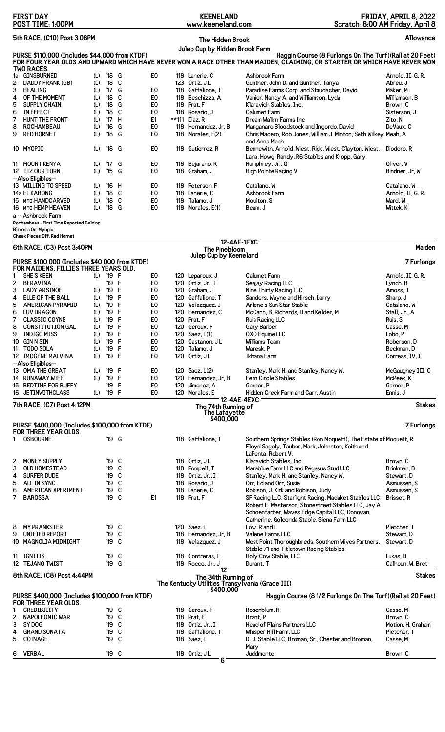|        | <b>FIRST DAY</b><br>POST TIME: 1:00PM                                  |            |                                 |        |                                  | <b>KEENELAND</b><br>www.keeneland.com             |                    | Scratch: 8:00 AM Friday, April 8                                                                                                                                                      | FRIDAY, APRIL 8, 2022         |               |
|--------|------------------------------------------------------------------------|------------|---------------------------------|--------|----------------------------------|---------------------------------------------------|--------------------|---------------------------------------------------------------------------------------------------------------------------------------------------------------------------------------|-------------------------------|---------------|
|        | 5th RACE. (C10) Post 3:08PM                                            |            |                                 |        |                                  | The Hidden Brook                                  |                    |                                                                                                                                                                                       |                               | Allowance     |
|        | PURSE \$110,000 (Includes \$44,000 from KTDF)<br>TWO RACES.            |            |                                 |        |                                  | Julep Cup by Hidden Brook Farm                    |                    | Haggin Course (8 Furlongs On The Turf) (Rail at 20 Feet)<br>FOR FOUR YEAR OLDS AND UPWARD WHICH HAVE NEVER WON A RACE OTHER THAN MAIDEN, CLAIMING, OR STARTER OR WHICH HAVE NEVER WON |                               |               |
|        | 1a GINSBURNED                                                          | (L)        | '18 G                           |        | E <sub>0</sub>                   | 118 Lanerie, C                                    |                    | Ashbrook Farm                                                                                                                                                                         | Arnold, II, G. R.             |               |
| 2      | DADDY FRANK (GB)                                                       | (L)<br>(L) | '18 C<br>$17^{\circ}$           | G      | E <sub>0</sub>                   | 123 Ortiz, JL<br>118 Gaffalione, T                |                    | Gunther, John D. and Gunther, Tanya                                                                                                                                                   | Abreu, J                      |               |
| 3<br>4 | HEALING<br>OF THE MOMENT                                               | (L)        | $^{\prime}$ 18                  | C      | E <sub>0</sub>                   | 118 Beschizza, A                                  |                    | Paradise Farms Corp. and Staudacher, David<br>Vanier, Nancy A. and Williamson, Lyda                                                                                                   | Maker, M<br>Williamson, B     |               |
| 5      | <b>SUPPLY CHAIN</b>                                                    | (L)        | '18                             | G      | E0                               | 118 Prat, F                                       |                    | Klaravich Stables, Inc.                                                                                                                                                               | Brown. C                      |               |
| 6      | <b>IN EFFECT</b>                                                       | (L)        | $^{\prime}$ 18                  | C      | E <sub>0</sub>                   | 118 Rosario, J                                    |                    | <b>Calumet Farm</b>                                                                                                                                                                   | Sisterson, J                  |               |
| 7      | HUNT THE FRONT                                                         | (L)        | '17 H                           |        | E1                               | **111 Diaz, R                                     |                    | Dream Walkin Farms Inc                                                                                                                                                                | Zito, N                       |               |
| 8<br>9 | <b>ROCHAMBEAU</b><br><b>RED HORNET</b>                                 | (L)<br>(L) | $^{\prime}16$<br>$^{\prime}$ 18 | G<br>G | E <sub>0</sub><br>E0             | 118 Hernandez, Jr, B<br>118 Morales, E(2)         |                    | Manganaro Bloodstock and Ingordo, David<br>Chris Macero, Rob Jones, William J. Minton, Seth Wilkey Meah, A<br>and Anna Meah                                                           | DeVaux, C                     |               |
|        | 10 MYOPIC                                                              | (L)        | '18 G                           |        | E <sub>0</sub>                   | 118 Gutierrez, R                                  |                    | Bennewith, Arnold, Wiest, Rick, Wiest, Clayton, Wiest,<br>Lana, Howg, Randy, R6 Stables and Kropp, Gary                                                                               | Diodoro, R                    |               |
| 11     | MOUNT KENYA<br>12 TIZ OUR TURN<br>--Also Eligibles--                   | (L)<br>(L) | '17<br>'15 G                    | G      | E0<br>E0                         | 118 Bejarano, R<br>118 Graham. J                  |                    | Humphrey, Jr., G<br>High Pointe Racing V                                                                                                                                              | Oliver, V<br>Bindner, Jr. W   |               |
|        | 13 WILLING TO SPEED                                                    | (L)        | '16 H                           |        | E <sub>0</sub>                   | 118 Peterson, F                                   |                    | Catalano, W                                                                                                                                                                           | Catalano. W                   |               |
|        | 14a EL KABONG                                                          | (L)        | $'18$ C                         |        | E0                               | 118 Lanerie, C                                    |                    | Ashbrook Farm                                                                                                                                                                         | Arnold, II, G. R.             |               |
|        | 15 MTO-HANDCARVED<br>16 MTO-HEMP HEAVEN                                | (L)<br>(L) | '18<br>$'18$ G                  | C      | E <sub>0</sub><br>E0             | 118 Talamo, J<br>118 Morales, E(1)                |                    | Moulton, S<br>Beam, J                                                                                                                                                                 | Ward, W<br>Wittek, K          |               |
|        | a -- Ashbrook Farm<br>Rochambeau - First Time Reported Gelding.        |            |                                 |        |                                  |                                                   |                    |                                                                                                                                                                                       |                               |               |
|        | Blinkers On: Myopic<br>Cheek Pieces Off: Red Hornet                    |            |                                 |        |                                  |                                                   |                    |                                                                                                                                                                                       |                               |               |
|        | 6th RACE. (C3) Post 3:40PM                                             |            |                                 |        |                                  | <b>The Pinebloom</b>                              | <b>12-4AE-1EXC</b> |                                                                                                                                                                                       |                               | Maiden        |
|        | PURSE \$100,000 (Includes \$40,000 from KTDF)                          |            |                                 |        |                                  | Julep Cup by Keeneland                            |                    |                                                                                                                                                                                       |                               | 7 Furlongs    |
| 1      | FOR MAIDENS, FILLIES THREE YEARS OLD.<br><b>SHE'S KEEN</b>             |            | (L) '19 F                       |        | E <sub>0</sub>                   | 120 Leparoux, J                                   |                    | <b>Calumet Farm</b>                                                                                                                                                                   | Arnold, II, G. R.             |               |
| 2      | <b>BERAVINA</b>                                                        |            | '19 F                           |        | E <sub>0</sub>                   | 120 Ortiz, Jr., I                                 |                    | Seajay Racing LLC                                                                                                                                                                     | Lynch, B                      |               |
| 3      | <b>LADY ARSINOE</b>                                                    | (L)        | '19 F                           |        | E <sub>0</sub>                   | 120 Graham, J                                     |                    | Nine Thirty Racing LLC                                                                                                                                                                | Amoss, T                      |               |
| 4      | ELLE OF THE BALL                                                       | (L)        | '19 F                           |        | E <sub>0</sub>                   | 120 Gaffalione, T                                 |                    | Sanders, Wayne and Hirsch, Larry                                                                                                                                                      | Sharp, J                      |               |
| 5<br>6 | <b>AMERICAN PYRAMID</b><br><b>LUV DRAGON</b>                           | (L)<br>(L) | '19 F<br>'19 F                  |        | E <sub>0</sub><br>E <sub>0</sub> | 120 Velazquez, J<br>120 Hernandez, C              |                    | Arlene's Sun Star Stable<br>McCann, B, Richards, D and Kelder, M                                                                                                                      | Catalano, W<br>Stall, Jr., A  |               |
| 7      | <b>CLASSIC COYNE</b>                                                   | (L)        | '19 F                           |        | E <sub>0</sub>                   | 120 Prat, F                                       |                    | Ruis Racing LLC                                                                                                                                                                       | Ruis, S                       |               |
| 8      | <b>CONSTITUTION GAL</b>                                                | (L)        | '19 F                           |        | E0                               | 120 Geroux, F                                     |                    | Gary Barber                                                                                                                                                                           | Casse, M                      |               |
| 9      | <b>INDIGO MISS</b>                                                     | (L)        | '19 F                           |        | E0                               | 120 Saez, L(1)                                    |                    | <b>OXO Equine LLC</b>                                                                                                                                                                 | Lobo, P                       |               |
|        | 10 GINN SIN                                                            | (L)        | '19 F                           |        | E <sub>0</sub>                   | 120 Castanon, JL                                  |                    | Williams Team                                                                                                                                                                         | Roberson, D                   |               |
|        | 11 TODO SOLA<br>12 IMOGENE MALVINA                                     | (L)<br>(L) | '19 F<br>'19 F                  |        | E <sub>0</sub><br>E0             | 120 Talamo, J<br>120 Ortiz, JL                    |                    | Waresk, P<br>Ikhana Farm                                                                                                                                                              | Beckman, D<br>Correas, IV, I  |               |
|        | --Also Eligibles--<br>13 OMA THE GREAT                                 |            |                                 |        | E <sub>0</sub>                   |                                                   |                    |                                                                                                                                                                                       |                               |               |
|        | 14 RUNAWAY WIFE                                                        | (L)<br>(L) | '19 F<br>'19 F                  |        | E <sub>0</sub>                   | 120 Saez, L(2)<br>120 Hernandez, Jr, B            |                    | Stanley, Mark H. and Stanley, Nancy W.<br>Fern Circle Stables                                                                                                                         | McGaughey III, C<br>McPeek, K |               |
| 15     | <b>BEDTIME FOR BUFFY</b>                                               |            | '19 F                           |        | E <sub>0</sub>                   | 120 Jimenez, A                                    |                    | Garner, P                                                                                                                                                                             | Garner, P                     |               |
|        | 16 JETINWITHCLASS                                                      | (L)        | '19 F                           |        | E0                               | 120 Morales, E                                    | 12-4AE-4EXC        | Hidden Creek Farm and Carr, Austin                                                                                                                                                    | Ennis, J                      |               |
|        | 7th RACE. (C7) Post 4:12PM                                             |            |                                 |        |                                  | The 74th Running of<br>The Lafayette<br>\$400,000 |                    |                                                                                                                                                                                       |                               | <b>Stakes</b> |
|        | PURSE \$400,000 (Includes \$100,000 from KTDF)<br>FOR THREE YEAR OLDS. |            |                                 |        |                                  |                                                   |                    |                                                                                                                                                                                       |                               | 7 Furlongs    |
|        | <b>OSBOURNE</b>                                                        |            | '19 G                           |        |                                  | 118 Gaffalione, T                                 |                    | Southern Springs Stables (Ron Moquett), The Estate of Moquett, R                                                                                                                      |                               |               |
|        |                                                                        |            |                                 |        |                                  |                                                   |                    | Floyd Sagely, Tauber, Mark, Johnston, Keith and<br>LaPenta, Robert V.                                                                                                                 |                               |               |
| 2      | MONEY SUPPLY                                                           |            | '19 C                           |        |                                  | 118 Ortiz, JL                                     |                    | Klaravich Stables, Inc.                                                                                                                                                               | Brown, C                      |               |
| 3      | <b>OLD HOMESTEAD</b>                                                   |            | '19 C                           |        |                                  | 118 Pompell, T                                    |                    | Marablue Farm LLC and Pegasus Stud LLC                                                                                                                                                | Brinkman, B                   |               |
| 4      | <b>SURFER DUDE</b>                                                     |            | '19 C                           |        |                                  | 118 Ortiz, Jr., I                                 |                    | Stanley, Mark H. and Stanley, Nancy W.                                                                                                                                                | Stewart, D                    |               |
| 5      | ALL IN SYNC                                                            |            | '19 C                           |        |                                  | 118 Rosario, J                                    |                    | Orr, Ed and Orr, Susie                                                                                                                                                                | Asmussen, S                   |               |
| 6<br>7 | <b>AMERICAN XPERIMENT</b><br><b>BAROSSA</b>                            |            | '19 C<br>'19 C                  |        | E1                               | 118 Lanerie, C<br>118 Prat, F                     |                    | Robison, J. Kirk and Robison, Judy<br>SF Racing LLC, Starlight Racing, Madaket Stables LLC, Brisset, R                                                                                | Asmussen, S                   |               |
|        |                                                                        |            |                                 |        |                                  |                                                   |                    | Robert E. Masterson, Stonestreet Stables LLC, Jay A.<br>Schoenfarber, Waves Edge Capital LLC, Donovan,<br>Catherine, Golconda Stable, Siena Farm LLC                                  |                               |               |
| 8      | <b>MY PRANKSTER</b>                                                    |            | '19 C                           |        |                                  | 120 Saez.L                                        |                    | Low, R and L                                                                                                                                                                          | Pletcher, T                   |               |
| 9      | UNIFIED REPORT                                                         |            | '19 C                           |        |                                  | 118 Hernandez, Jr, B                              |                    | Valene Farms LLC                                                                                                                                                                      | Stewart, D                    |               |
|        | 10 MAGNOLIA MIDNIGHT                                                   |            | '19 C                           |        |                                  | 118 Velazquez, J                                  |                    | West Point Thoroughbreds, Southern Wives Partners,<br>Stable 71 and Titletown Racing Stables                                                                                          | Stewart, D                    |               |
|        | 11 IGNITIS<br>12 TEJANO TWIST                                          |            | '19 C<br>'19 G                  |        |                                  | 118 Contreras, L<br>118 Rocco, Jr., J             |                    | Holy Cow Stable, LLC<br>Durant, T                                                                                                                                                     | Lukas, D<br>Calhoun, W. Bret  |               |
|        | 8th RACE. (C8) Post 4:44PM                                             |            |                                 |        |                                  | 12<br>The 34th Running of                         |                    |                                                                                                                                                                                       |                               | <b>Stakes</b> |
|        |                                                                        |            |                                 |        |                                  | \$400,000                                         |                    | The Kentucky Utilities Transylvania (Grade III)                                                                                                                                       |                               |               |
|        | PURSE \$400,000 (Includes \$100,000 from KTDF)<br>FOR THREE YEAR OLDS. |            |                                 |        |                                  |                                                   |                    | Haggin Course (8 1/2 Furlongs On The Turf) (Rail at 20 Feet)                                                                                                                          |                               |               |
| 1<br>2 | CREDIBILITY<br>NAPOLEONIC WAR                                          |            | '19 C<br>'19 C                  |        |                                  | 118 Geroux, F<br>118 Prat. F                      |                    | Rosenblum, H<br>Brant, P                                                                                                                                                              | Casse, M<br>Brown, C          |               |
| 3      | SY DOG                                                                 |            | '19 C                           |        |                                  | 118 Ortiz, Jr., I                                 |                    | <b>Head of Plains Partners LLC</b>                                                                                                                                                    | Motion, H. Graham             |               |
| 4      | <b>GRAND SONATA</b>                                                    |            | '19 C                           |        |                                  | 118 Gaffalione, T                                 |                    | Whisper Hill Farm, LLC                                                                                                                                                                | Pletcher, T                   |               |
| 5      | COINAGE                                                                |            | '19 C                           |        |                                  | 118 Saez, L                                       |                    | D. J. Stable LLC, Broman, Sr., Chester and Broman,<br>Mary                                                                                                                            | Casse. M                      |               |
| 6      | <b>VERBAL</b>                                                          |            | '19 C                           |        |                                  | 118 Ortiz, JL<br>6                                |                    | Juddmonte                                                                                                                                                                             | Brown, C                      |               |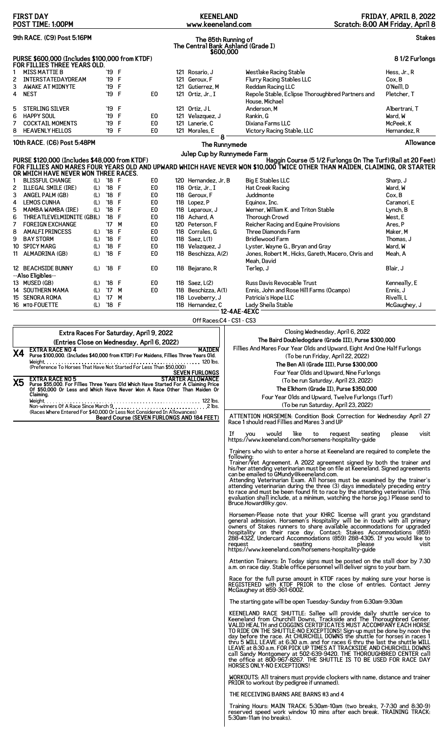| <b>FIRST DAY</b><br>POST TIME: 1:00PM                                                                                                                                                           | <b>KEENELAND</b><br>www.keeneland.com                                       |                                                                                                                                                                                                                                                                                                                                                                                                                                                         | FRIDAY, APRIL 8, 2022<br>Scratch: 8:00 AM Friday, April 8 |
|-------------------------------------------------------------------------------------------------------------------------------------------------------------------------------------------------|-----------------------------------------------------------------------------|---------------------------------------------------------------------------------------------------------------------------------------------------------------------------------------------------------------------------------------------------------------------------------------------------------------------------------------------------------------------------------------------------------------------------------------------------------|-----------------------------------------------------------|
| 9th RACE. (C9) Post 5:16PM                                                                                                                                                                      | The 85th Running of<br>The Central Bank Ashland (Grade I)                   |                                                                                                                                                                                                                                                                                                                                                                                                                                                         | <b>Stakes</b>                                             |
| PURSE \$600,000 (Includes \$100,000 from KTDF)                                                                                                                                                  | \$600,000                                                                   |                                                                                                                                                                                                                                                                                                                                                                                                                                                         | 81/2 Furlongs                                             |
| FOR FILLIES THREE YEARS OLD.<br>'19 F<br><b>MISS MATTIE B</b><br>1                                                                                                                              | 121 Rosario, J                                                              | Westlake Racing Stable                                                                                                                                                                                                                                                                                                                                                                                                                                  | Hess, Jr., R                                              |
| INTERSTATEDAYDREAM<br>'19 F<br>2<br>F<br>3<br><b>AWAKE AT MIDNYTE</b><br>'19                                                                                                                    | 121 Geroux, F<br>121 Gutierrez, M                                           | Flurry Racing Stables LLC<br>Reddam Racing LLC                                                                                                                                                                                                                                                                                                                                                                                                          | Cox, B<br>O'Neill, D                                      |
| '19 F<br><b>NEST</b><br>4                                                                                                                                                                       | E0<br>121 Ortiz, Jr., I                                                     | Repole Stable, Eclipse Thoroughbred Partners and<br>House, Michael                                                                                                                                                                                                                                                                                                                                                                                      | Pletcher, T                                               |
| 5<br><b>STERLING SILVER</b><br>'19 F                                                                                                                                                            | 121 Ortiz, JL                                                               | Anderson, M                                                                                                                                                                                                                                                                                                                                                                                                                                             | Albertrani, T                                             |
| F<br>6<br><b>HAPPY SOUL</b><br>'19<br>'19 F<br>7<br><b>COCKTAIL MOMENTS</b>                                                                                                                     | E <sub>0</sub><br>121 Velazquez, J<br>E <sub>0</sub><br>121 Lanerie, C      | Rankin, G<br>Dixiana Farms LLC                                                                                                                                                                                                                                                                                                                                                                                                                          | Ward, W<br>McPeek, K                                      |
| '19 F<br>8<br><b>HEAVENLY HELLOS</b>                                                                                                                                                            | E0<br>121 Morales, E<br>΄8                                                  | Victory Racing Stable, LLC                                                                                                                                                                                                                                                                                                                                                                                                                              | Hernandez, R                                              |
| 10th RACE. (C6) Post 5:48PM                                                                                                                                                                     | The Runnymede<br>Julep Cup by Runnymede Farm                                |                                                                                                                                                                                                                                                                                                                                                                                                                                                         | Allowance                                                 |
| PURSE \$120,000 (Includes \$48,000 from KTDF)                                                                                                                                                   |                                                                             | Haggin Course (5 1/2 Furlongs On The Turf) (Rail at 20 Feet)<br>FOR FILLIES AND MARES FOUR YEARS OLD AND UPWARD WHICH HAVE NEVER WON \$10,000 TWICE OTHER THAN MAIDEN, CLAIMING, OR STARTER                                                                                                                                                                                                                                                             |                                                           |
| OR WHICH HAVE NEVER WON THREE RACES.<br><b>BLISSFUL CHANGE</b><br>$'18$ F<br>1<br>(L)                                                                                                           | E <sub>0</sub><br>120 Hernandez, Jr, B                                      | <b>Big E Stables LLC</b>                                                                                                                                                                                                                                                                                                                                                                                                                                | Sharp, J                                                  |
| '18 F<br><b>ILLEGAL SMILE (IRE)</b><br>2<br>(L)                                                                                                                                                 | E0<br>118 Ortiz. Jr., I                                                     | <b>Hat Creek Racing</b>                                                                                                                                                                                                                                                                                                                                                                                                                                 | Ward, W                                                   |
| 3<br>F<br>ANGEL PALM (GB)<br>'18<br>(L)<br>$^{\prime}$ 18<br>F<br>4<br><b>LEMOS CUNHA</b><br>(L)                                                                                                | E0<br>118 Geroux, F<br>E <sub>0</sub><br>118 Lopez, P                       | Juddmonte<br>Equinox, Inc.                                                                                                                                                                                                                                                                                                                                                                                                                              | Cox, B<br>Caramori, E                                     |
| 5<br>'18<br>F<br><b>MAMBA WAMBA (IRE)</b><br>(L)                                                                                                                                                | E <sub>0</sub><br>118 Leparoux, J                                           | Werner, William K. and Triton Stable                                                                                                                                                                                                                                                                                                                                                                                                                    | Lynch, B                                                  |
| 6<br>$^{\prime}18$<br>F<br>THREATLEVELMIDNITE (GB)L)<br>M<br><b>FOREIGN EXCHANGE</b><br>$^{\prime}$ 17                                                                                          | E0<br>118 Achard, A<br>E <sub>0</sub><br>120 Peterson, F                    | <b>Thorough Crowd</b>                                                                                                                                                                                                                                                                                                                                                                                                                                   | West, E<br>Ares, P                                        |
| 7<br>'18<br>F<br>8<br><b>AMALFI PRINCESS</b><br>(L)                                                                                                                                             | E <sub>0</sub><br>118 Corrales, G                                           | Reicher Racing and Equine Provisions<br>Three Diamonds Farm                                                                                                                                                                                                                                                                                                                                                                                             | Maker, M                                                  |
| F<br>9<br><b>BAY STORM</b><br>'18<br>(L)                                                                                                                                                        | E <sub>0</sub><br>118 Saez, L(1)                                            | <b>Bridlewood Farm</b>                                                                                                                                                                                                                                                                                                                                                                                                                                  | Thomas. J                                                 |
| F<br><b>SPICY MARG</b><br>$^{\prime}18$<br>10<br>(L)<br>'18 F<br>ALMADRINA (GB)<br>(L)<br>11                                                                                                    | E <sub>0</sub><br>118 Velazquez, J<br>E <sub>0</sub><br>118 Beschizza, A(2) | Lyster, Wayne G., Bryan and Gray<br>Jones, Robert M., Hicks, Gareth, Macero, Chris and                                                                                                                                                                                                                                                                                                                                                                  | Ward, W<br>Meah, A                                        |
|                                                                                                                                                                                                 |                                                                             | Meah, David                                                                                                                                                                                                                                                                                                                                                                                                                                             |                                                           |
| 12 BEACHSIDE BUNNY<br>$'18$ F<br>(L)<br>--Also Eligibles--                                                                                                                                      | E <sub>0</sub><br>118 Bejarano, R                                           | Terlep, J                                                                                                                                                                                                                                                                                                                                                                                                                                               | Blair, J                                                  |
| 13 MUSED (GB)<br>$'18$ F<br>(L)                                                                                                                                                                 | E <sub>0</sub><br>118 Saez, L(2)<br>118 Beschizza, A(1)                     | Russ Davis Revocable Trust                                                                                                                                                                                                                                                                                                                                                                                                                              | Kenneally, E                                              |
| 14 SOUTHERN MAMA<br>$^{\prime}$ 17<br>M<br>(L)<br>15 SENORA ROMA<br>'17<br>M<br>(L)                                                                                                             | E0<br>118 Loveberry, J                                                      | Ennis, John and Rose Hill Farms (Ocampo)<br>Patricia's Hope LLC                                                                                                                                                                                                                                                                                                                                                                                         | Ennis, J<br>Rivelli, L                                    |
| $'18$ F<br>16 MTO-FOUETTE<br>(L)                                                                                                                                                                | 118 Hernandez, C                                                            | Lady Sheila Stable<br>12-4AE-4EXC                                                                                                                                                                                                                                                                                                                                                                                                                       | McGaughey, J                                              |
|                                                                                                                                                                                                 | Off Races: C4 - CS1 - CS3                                                   |                                                                                                                                                                                                                                                                                                                                                                                                                                                         |                                                           |
| Extra Races For Saturday, April 9, 2022                                                                                                                                                         |                                                                             | Closing Wednesday, April 6, 2022                                                                                                                                                                                                                                                                                                                                                                                                                        |                                                           |
| (Entries Close on Wednesday, April 6, 2022)                                                                                                                                                     |                                                                             | The Baird Doubledogdare (Grade III), Purse \$300,000                                                                                                                                                                                                                                                                                                                                                                                                    |                                                           |
| <b>EXTRA RACE NO 4</b> MAIDEN PURSE RACE NO 4<br>Purse \$100,000. (Includes \$40,000 from KTDF) For Maidens, Fillies Three Years Old.<br><b>X4</b>                                              | <b>MAIDEN</b>                                                               | Fillies And Mares Four Year Olds and Upward, Eight And One Half Furlongs<br>(To be run Friday, April 22, 2022)                                                                                                                                                                                                                                                                                                                                          |                                                           |
| (Preference To Horses That Have Not Started For Less Than \$50,000)                                                                                                                             |                                                                             | The Ben Ali (Grade III), Purse \$300,000                                                                                                                                                                                                                                                                                                                                                                                                                |                                                           |
|                                                                                                                                                                                                 | <b>SEVEN FURLONGS</b><br><b>STARTER ALLOWANCE</b>                           | Four Year Olds and Upward, Nine Furlongs                                                                                                                                                                                                                                                                                                                                                                                                                |                                                           |
| <b>EXTRA RACE NO 5</b><br>X5<br>Purse \$55,000. For Fillies Three Years Old Which Have Started For A Claiming Price<br>Of \$50,000 Or Less and Which Have Never Won A Race Other Than Maiden Or |                                                                             | (To be run Saturday, April 23, 2022)                                                                                                                                                                                                                                                                                                                                                                                                                    |                                                           |
| Claiming.                                                                                                                                                                                       |                                                                             | The Elkhorn (Grade II), Purse \$350,000<br>Four Year Olds and Upward, Twelve Furlongs (Turf)                                                                                                                                                                                                                                                                                                                                                            |                                                           |
|                                                                                                                                                                                                 |                                                                             | (To be run Saturday, April 23, 2022)                                                                                                                                                                                                                                                                                                                                                                                                                    |                                                           |
|                                                                                                                                                                                                 | Beard Course (SEVEN FURLONGS AND 184 FEET)                                  | ATTENTION HORSEMEN: Condition Book Correction for Wednesday April 27<br>Race 1 should read Fillies and Mares 3 and UP                                                                                                                                                                                                                                                                                                                                   |                                                           |
|                                                                                                                                                                                                 |                                                                             | If<br>like<br>would<br><b>VOU</b><br>to<br>request<br>seating<br>https://www.keeneland.com/horsemens-hospitality-guide                                                                                                                                                                                                                                                                                                                                  | please<br>visit                                           |
|                                                                                                                                                                                                 |                                                                             | Trainers who wish to enter a horse at Keeneland are required to complete the                                                                                                                                                                                                                                                                                                                                                                            |                                                           |
|                                                                                                                                                                                                 |                                                                             | followina:<br>Trainer/Vet Agreement. A 2022 agreement signed by both the trainer and                                                                                                                                                                                                                                                                                                                                                                    |                                                           |
|                                                                                                                                                                                                 |                                                                             | his/her attending veterinarian must be on file at Keeneland. Signed agreements<br>can be emailed to GMundy@keeneland.com.                                                                                                                                                                                                                                                                                                                               |                                                           |
|                                                                                                                                                                                                 |                                                                             | Attending Veterinarian Exam. All horses must be examined by the trainer's<br>attending veterinarian during the three (3) days immediately preceding entry                                                                                                                                                                                                                                                                                               |                                                           |
|                                                                                                                                                                                                 |                                                                             | to race and must be been found fit to race by the attending veterinarian. (This<br>evaluation shall include, at a minimum, watching the horse jog.) Please send to<br>Bruce.Howard@ky.gov.                                                                                                                                                                                                                                                              |                                                           |
|                                                                                                                                                                                                 |                                                                             | Horsemen-Please note that your KHRC license will grant you grandstand                                                                                                                                                                                                                                                                                                                                                                                   |                                                           |
|                                                                                                                                                                                                 |                                                                             | general admission. Horsemen's Hospitality will be in touch with all primary owners of Stakes runners to share available accommodations for upgraded                                                                                                                                                                                                                                                                                                     |                                                           |
|                                                                                                                                                                                                 |                                                                             | hospitality on their race day. Contact: Stakes Accommodations (859)<br>288-4322, Undercard Accommodations (859) 288-4305. If you would like to<br>seating<br>please<br>request<br>https://www.keeneland.com/horsemens-hospitality-guide                                                                                                                                                                                                                 | visit                                                     |
|                                                                                                                                                                                                 |                                                                             | Attention Trainers: In Today signs must be posted on the stall door by 7:30<br>a.m. on race day. Stable office personnel will deliver signs to your barn.                                                                                                                                                                                                                                                                                               |                                                           |
|                                                                                                                                                                                                 |                                                                             | Race for the full purse amount in KTDF races by making sure your horse is<br>REGISTERED with KTDF PRIOR to the close of entries. Contact Jenny                                                                                                                                                                                                                                                                                                          |                                                           |
|                                                                                                                                                                                                 |                                                                             | McGaughey at 859-361-6002.<br>The starting gate will be open Tuesday-Sunday from 6:30am-9:30am                                                                                                                                                                                                                                                                                                                                                          |                                                           |
|                                                                                                                                                                                                 |                                                                             | KEENELAND RACE SHUTTLE: Sallee will provide daily shuttle service to Keeneland from Churchill Downs, Trackside and The Thoroughbred Center.                                                                                                                                                                                                                                                                                                             |                                                           |
|                                                                                                                                                                                                 |                                                                             | VALID HEALTH and COGGINS CERTIFICATES MUST ACCOMPANY EACH HORSE<br>TO RIDE ON THE SHUTTLE-NO EXCEPTIONS! Sign-up must be done by noon the<br>day before the race. At CHURCHILL DOWNS the shuttle for horses in races 1<br>thru 5 WILL LEAVE at 6:30 a.m. and for races 6 thru the last the shuttle WILL<br>LEAVE at 8:30 a.m. FOR PICK UP TIMES AT TRACKSIDE AND CHURCHILL DOWNS<br>call Sandy Montgomery at 502-639-9420. THE THOROUGHBRED CENTER call |                                                           |
|                                                                                                                                                                                                 |                                                                             | the office at 800-967-8267. THE SHUTTLE IS TO BE USED FOR RACE DAY<br>HORSES ONLY-NO EXCEPTIONS!<br>WORKOUTS: All trainers must provide clockers with name, distance and trainer                                                                                                                                                                                                                                                                        |                                                           |
|                                                                                                                                                                                                 |                                                                             | PRIOR to workout (by pedigree if unnamed).<br>THE RECEIVING BARNS ARE BARNS #3 and 4                                                                                                                                                                                                                                                                                                                                                                    |                                                           |
|                                                                                                                                                                                                 |                                                                             |                                                                                                                                                                                                                                                                                                                                                                                                                                                         |                                                           |
|                                                                                                                                                                                                 |                                                                             | Training Hours: MAIN TRACK: 5:30am-10am (two breaks, 7-7:30 and 8:30-9)<br>reserved speed work window 10 mins after each break. TRAINING TRACK:<br>5:30am-11am (no breaks).                                                                                                                                                                                                                                                                             |                                                           |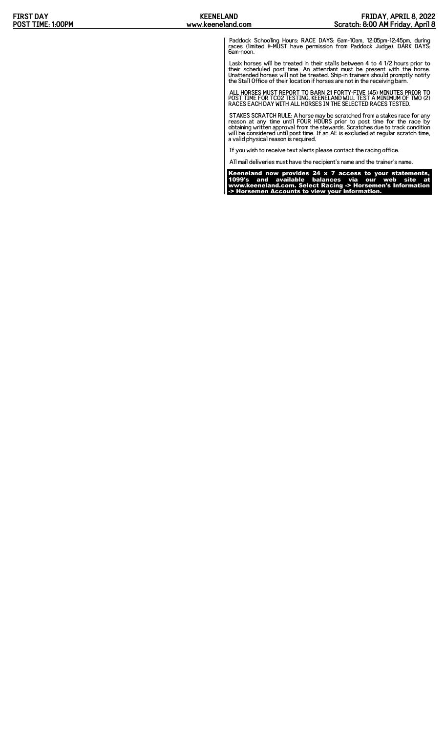Paddock Schooling Hours: RACE DAYS: 6am-10am, 12:05pm-12:45pm, during races (limited #-MUST have permission from Paddock Judge). DARK DAYS: 6am-noon.

Lasix horses will be treated in their stalls between 4 to 4 1/2 hours prior to<br>their scheduled post time. An attendant must be present with the horse.<br>Unattended horses will not be treated. Ship-in trainers should promptly

ALL HORSES MUST REPORT TO BARN 21 FORTY-FIVE (45) MINUTES PRIOR TO POST TIME FOR TCO2 TESTING. KEENELAND WILL TEST A MINIMUM OF TWO (2) RACES EACH DAY WITH ALL HORSES IN THE SELECTED RACES TESTED.

STAKES SCRATCH RULE: A horse may be scratched from a stakes race for any<br>reason at any time until FOUR HOURS prior to post time for the race by<br>obtaining written approval from the stewards. Scratches due to track condition

If you wish to receive text alerts please contact the racing office.

All mail deliveries must have the recipient's name and the trainer's name.

Keeneland now provides 24 x 7 access to your statements, 1099's and available balances via our web site at www.keeneland.com. Select Racing -> Horsemen's Information -> Horsemen Accounts to view your information.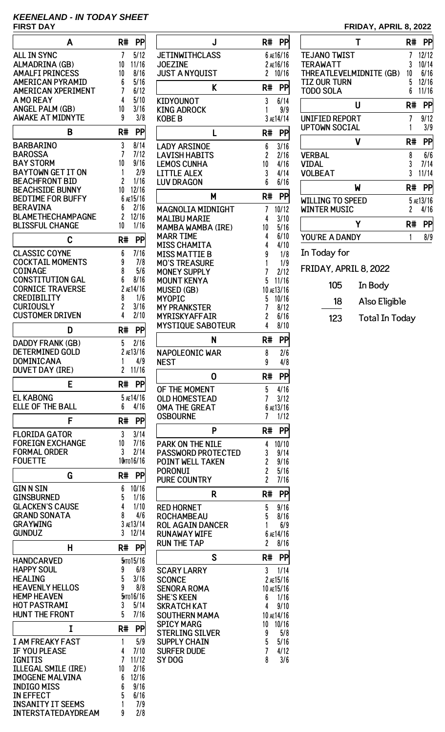# **KEENELAND - IN TODAY SHEET FIRST DAY FRIDAY, APRIL 8, 2022**

| A                                                    | R#<br>PP                 |
|------------------------------------------------------|--------------------------|
| <b>ALL IN SYNC</b>                                   | 7<br>5/12                |
| ALMADRINA (GB)                                       | 10<br>11/16              |
| <b>AMALFI PRINCESS</b><br><b>AMERICAN PYRAMID</b>    | 8/16<br>10<br>5/16<br>6  |
| <b>AMERICAN XPERIMENT</b>                            | 7<br>6/12                |
| A MO REAY                                            | 4<br>5/10                |
| <b>ANGEL PALM (GB)</b>                               | 10<br>3/16               |
| <b>AWAKE AT MIDNYTE</b>                              | 9<br>3/8                 |
| B                                                    | R#<br>PP                 |
| BARBARINO                                            | 3<br>8/14                |
| <b>BAROSSA</b><br><b>BAY STORM</b>                   | 7<br>7/12<br>10<br>9/16  |
| <b>BAYTOWN GET IT ON</b>                             | 2/9<br>1                 |
| <b>BEACHFRONT BID</b>                                | $\overline{c}$<br>1/16   |
| <b>BEACHSIDE BUNNY</b>                               | 10<br>12/16              |
| <b>BEDTIME FOR BUFFY</b><br><b>BERAVINA</b>          | 6 AE15/16                |
| <b>BLAMETHECHAMPAGNE</b>                             | 2/16<br>6<br>2<br>12/16  |
| <b>BLISSFUL CHANGE</b>                               | 10<br>1/16               |
| C                                                    | R#<br>PP                 |
| <b>CLASSIC COYNE</b>                                 | 6<br>7/16                |
| <b>COCKTAIL MOMENTS</b>                              | 9<br>7/8                 |
| COINAGE                                              | 8<br>5/6                 |
| <b>CONSTITUTION GAL</b><br><b>CORNICE TRAVERSE</b>   | 6<br>8/16<br>2 AE14/16   |
| <b>CREDIBILITY</b>                                   | 1/6<br>8                 |
| <b>CURIOUSLY</b>                                     | 2<br>3/16                |
| <b>CUSTOMER DRIVEN</b>                               | 4<br>2/10                |
| D                                                    | R#<br>PP                 |
| DADDY FRANK (GB)                                     | 5<br>2/16                |
| <b>DETERMINED GOLD</b>                               | 2 ae13/16                |
| DOMINICANA<br><b>DUVET DAY (IRE)</b>                 | 4/9<br>1<br>2<br>11/16   |
| E                                                    | R#<br>PP                 |
| <b>EL KABONG</b>                                     | 5 AE14/16                |
| <b>ELLE OF THE BALL</b>                              | 6<br>4/16                |
| F                                                    | R#<br>PP                 |
| <b>FLORIDA GATOR</b>                                 | 3<br>3/14                |
| <b>FOREIGN EXCHANGE</b>                              | 10<br>7/16               |
| <b>FORMAL ORDER</b><br><b>FOUETTE</b>                | 2/14<br>3<br>10ито 16/16 |
| G                                                    | R#<br>PP                 |
| <b>GIN N SIN</b>                                     | 10/16<br>6               |
| <b>GINSBURNED</b>                                    | 5<br>1/16                |
| <b>GLACKEN'S CAUSE</b>                               | 1/10<br>4                |
| <b>GRAND SONATA</b>                                  | 8<br>4/6                 |
| <b>GRAYWING</b><br><b>GUNDUZ</b>                     | 3 AE13/14<br>3<br>12/14  |
| н                                                    | R#<br>PP                 |
| <b>HANDCARVED</b>                                    | <b>5</b> To 15/16        |
| <b>HAPPY SOUL</b>                                    | 6/8<br>9                 |
| <b>HEALING</b>                                       | 5<br>3/16                |
| <b>HEAVENLY HELLOS</b>                               | 9<br>8/8                 |
| <b>HEMP HEAVEN</b>                                   | <b>Б</b> ито 16/16       |
| <b>HOT PASTRAMI</b><br><b>HUNT THE FRONT</b>         | 3<br>5/14<br>5<br>7/16   |
| I                                                    | PP<br>R#                 |
| <b>I AM FREAKY FAST</b>                              | 1<br>5/9                 |
| <b>IF YOU PLEASE</b>                                 | 7/10<br>4                |
| <b>IGNITIS</b>                                       | 7<br>11/12               |
| <b>ILLEGAL SMILE (IRE)</b><br><b>IMOGENE MALVINA</b> | 10<br>2/16<br>12/16<br>6 |
| <b>INDIGO MISS</b>                                   | 6<br>9/16                |
| <b>IN EFFECT</b>                                     | 5<br>6/16                |
| <b>INSANITY IT SEEMS</b>                             | 7/9<br>1                 |

INTERSTATEDAYDREAM

| J                                                    | R#<br>PP                                        |
|------------------------------------------------------|-------------------------------------------------|
| <b>JETINWITHCLASS</b>                                | 6 AE16/16                                       |
| <b>JOEZINE</b>                                       | 2 AE16/16                                       |
| <b>JUST A NYQUIST</b>                                | $\mathbf{2}$<br>10/16                           |
| K                                                    | R#<br>PP                                        |
| KIDYOUNOT                                            | 3<br>6/14                                       |
| KING ADROCK<br><b>KOBE B</b>                         | 9/9<br>1<br>3 AE14/14                           |
|                                                      |                                                 |
| L                                                    | R#<br>PP                                        |
| LADY ARSINOE<br>LAVISH HABITS                        | 6<br>3/16<br>$\overline{c}$<br>2/16             |
| <b>LEMOS CUNHA</b>                                   | 10<br>4/16                                      |
| <b>LITTLE ALEX</b>                                   | 3<br>4/14                                       |
| <b>LUV DRAGON</b>                                    | 6<br>6/16                                       |
| M                                                    | R#<br>PP                                        |
| <b>MAGNOLIA MIDNIGHT</b>                             | 7<br>10/12                                      |
| <b>MALIBU MARIE</b><br>MAMBA WAMBA (IRE)             | 3/10<br>4<br>10<br>5/16                         |
| MARR TIME                                            | 6/10<br>4                                       |
| MISS CHAMITA<br>MISS MATTIE B                        | 4<br>4/10<br>9<br>1/8                           |
| <b>MO'S TREASURE</b>                                 | 1<br>1/9                                        |
| <b>MONEY SUPPLY</b>                                  | 7<br>2/12                                       |
| MOUNT KENYA<br><b>MUSED (GB)</b>                     | 5<br>11/16<br>10 AE13/16                        |
| MYOPIC                                               | 5<br>10/16                                      |
| <b>MY PRANKSTER</b>                                  | 7<br>8/12                                       |
| MYRISKYAFFAIR<br><b>MYSTIQUE SABOTEUR</b>            | 2<br>6/16<br>4<br>8/10                          |
|                                                      | R#                                              |
| N                                                    | PP                                              |
|                                                      |                                                 |
| NAPOLEONIC WAR<br><b>NEST</b>                        | 8<br>2/6<br>9<br>4/8                            |
| 0                                                    | PP<br>R#                                        |
| OF THE MOMENT                                        | 5<br>4/16                                       |
| <b>OLD HOMESTEAD</b>                                 | 7<br>3/12                                       |
| OMA THE GREAT<br><b>OSBOURNE</b>                     | 6 AE13/16<br>7<br>1/12                          |
|                                                      |                                                 |
| P                                                    | R#<br>PP                                        |
| <b>PARK ON THE NILE</b><br><b>PASSWORD PROTECTED</b> | 10/10<br>4<br>3<br>9/14                         |
| <b>POINT WELL TAKEN</b>                              | 9/16                                            |
| PORONUI<br><b>PURE COUNTRY</b>                       | $\frac{2}{2}$<br>5/16<br>$\overline{c}$<br>7/16 |
|                                                      |                                                 |
| R                                                    | R#<br>PP                                        |
| <b>RED HORNET</b><br>ROCHAMBEAU                      | 5<br>9/16<br>5<br>8/16                          |
| <b>ROL AGAIN DANCER</b>                              | 1<br>6/9                                        |
| <b>RUNAWAY WIFE</b>                                  | 6 AE14/16                                       |
| <b>RUN THE TAP</b>                                   | 2<br>8/16                                       |
| S                                                    | PP<br>R#                                        |
| <b>SCARY LARRY</b><br><b>SCONCE</b>                  | 3<br>1/14<br>2 AE15/16                          |
| <b>SENORA ROMA</b>                                   | 10 AE15/16                                      |
| <b>SHE'S KEEN</b>                                    | 1/16<br>6                                       |
| <b>SKRATCH KAT</b><br>SOUTHERN MAMA                  | 4<br>9/10<br>10 AE14/16                         |
| SPICY MARG                                           | 10/16<br>10                                     |
| STERLING SILVER                                      | 5/8<br>9                                        |
| SUPPLY CHAIN<br>SURFER DUDE                          | 5<br>5/16<br>7<br>4/12                          |
| SY DOG                                               | 8<br>3/6                                        |

| Т                       | R# | PP        |
|-------------------------|----|-----------|
| <b>TEJANO TWIST</b>     | 7  | 12/12     |
| TERAWATT                | 3  | 10/14     |
| THREATLEVELMIDNITE (GB) | 10 | 6/16      |
| <b>TIZ OUR TURN</b>     | 5  | 12/16     |
| <b>TODO SOLA</b>        | 6  | 11/16     |
| U                       | R# | PP        |
| UNIFIED REPORT          | 7  | 9/12      |
| <b>UPTOWN SOCIAL</b>    | 1  | 3/9       |
| v                       | R# | PP        |
| VERBAL                  | 8  | 6/6       |
| VIDAL                   | 3  | 7/14      |
| <b>VOLBEAT</b>          | 3  | 11/14     |
| W                       | R# | PP        |
| WILLING TO SPEED        |    | 5 AE13/16 |
| <b>WINTER MUSIC</b>     | 2  | 4/16      |
| Y                       | R# | PP        |
| YOU'RE A DANDY          | 1  | 8/9       |
| In Today for            |    |           |
| FRIDAY, APRIL 8, 2022   |    |           |
| 105<br>In Body          |    |           |
|                         |    |           |
|                         |    |           |

123 Total In Today